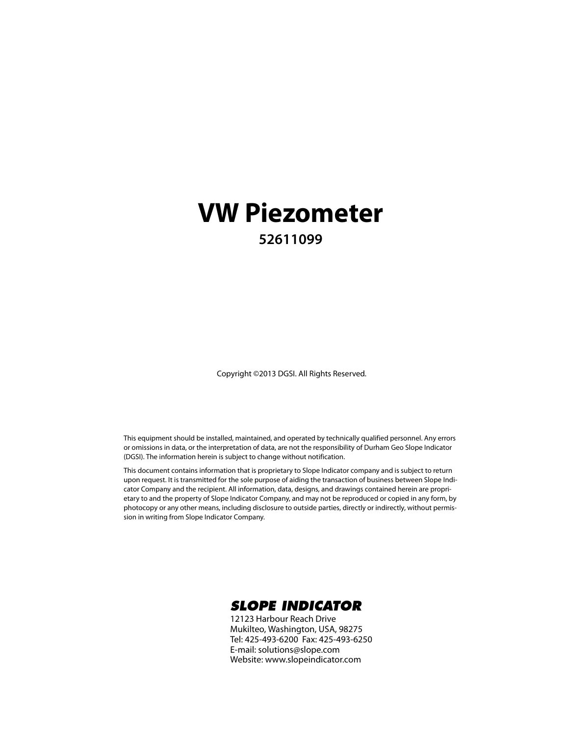#### **VW Piezometer 52611099**

Copyright ©2013 DGSI. All Rights Reserved.

This equipment should be installed, maintained, and operated by technically qualified personnel. Any errors or omissions in data, or the interpretation of data, are not the responsibility of Durham Geo Slope Indicator (DGSI). The information herein is subject to change without notification.

This document contains information that is proprietary to Slope Indicator company and is subject to return upon request. It is transmitted for the sole purpose of aiding the transaction of business between Slope Indicator Company and the recipient. All information, data, designs, and drawings contained herein are proprietary to and the property of Slope Indicator Company, and may not be reproduced or copied in any form, by photocopy or any other means, including disclosure to outside parties, directly or indirectly, without permission in writing from Slope Indicator Company.



12123 Harbour Reach Drive Mukilteo, Washington, USA, 98275 Tel: 425-493-6200 Fax: 425-493-6250 E-mail: solutions@slope.com Website: www.slopeindicator.com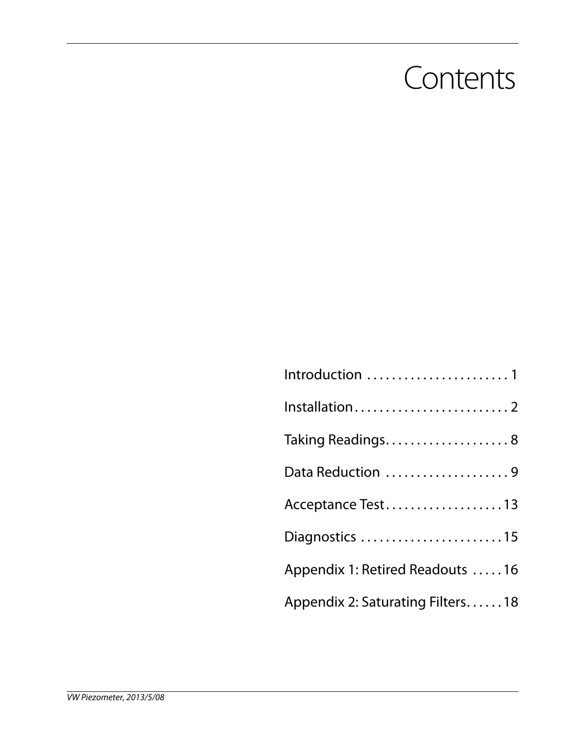#### **Contents**

| Introduction 1                   |
|----------------------------------|
|                                  |
| Taking Readings 8                |
| Data Reduction 9                 |
| Acceptance Test13                |
| Diagnostics 15                   |
| Appendix 1: Retired Readouts 16  |
| Appendix 2: Saturating Filters18 |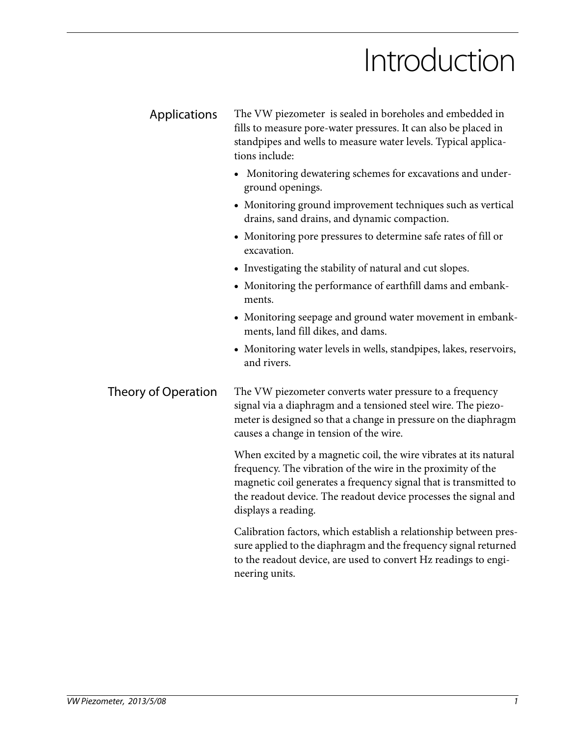### Introduction

| Applications               | The VW piezometer is sealed in boreholes and embedded in<br>fills to measure pore-water pressures. It can also be placed in<br>standpipes and wells to measure water levels. Typical applica-<br>tions include:                                                                                  |  |  |
|----------------------------|--------------------------------------------------------------------------------------------------------------------------------------------------------------------------------------------------------------------------------------------------------------------------------------------------|--|--|
|                            | • Monitoring dewatering schemes for excavations and under-<br>ground openings.                                                                                                                                                                                                                   |  |  |
|                            | • Monitoring ground improvement techniques such as vertical<br>drains, sand drains, and dynamic compaction.                                                                                                                                                                                      |  |  |
|                            | • Monitoring pore pressures to determine safe rates of fill or<br>excavation.                                                                                                                                                                                                                    |  |  |
|                            | • Investigating the stability of natural and cut slopes.                                                                                                                                                                                                                                         |  |  |
|                            | • Monitoring the performance of earthfill dams and embank-<br>ments.                                                                                                                                                                                                                             |  |  |
|                            | • Monitoring seepage and ground water movement in embank-<br>ments, land fill dikes, and dams.                                                                                                                                                                                                   |  |  |
|                            | • Monitoring water levels in wells, standpipes, lakes, reservoirs,<br>and rivers.                                                                                                                                                                                                                |  |  |
| <b>Theory of Operation</b> | The VW piezometer converts water pressure to a frequency<br>signal via a diaphragm and a tensioned steel wire. The piezo-<br>meter is designed so that a change in pressure on the diaphragm<br>causes a change in tension of the wire.                                                          |  |  |
|                            | When excited by a magnetic coil, the wire vibrates at its natural<br>frequency. The vibration of the wire in the proximity of the<br>magnetic coil generates a frequency signal that is transmitted to<br>the readout device. The readout device processes the signal and<br>displays a reading. |  |  |
|                            | Calibration factors, which establish a relationship between pres-<br>sure applied to the diaphragm and the frequency signal returned<br>to the readout device, are used to convert Hz readings to engi-                                                                                          |  |  |

neering units.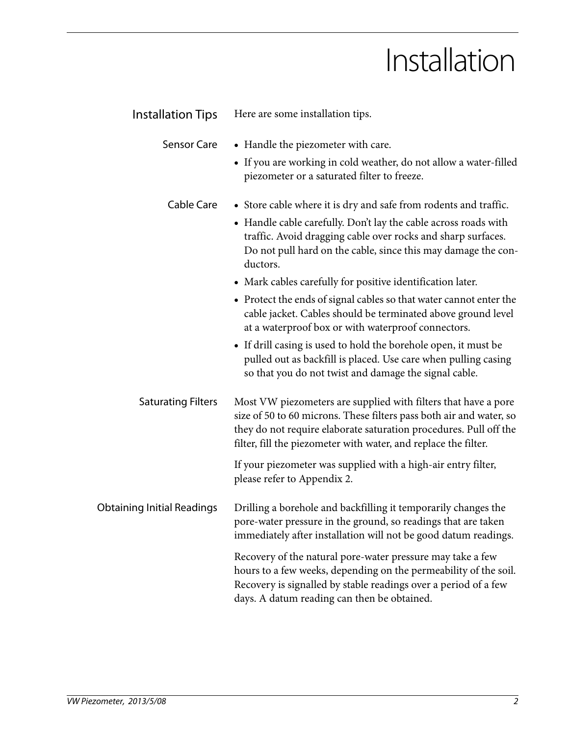### Installation

| <b>Installation Tips</b>          | Here are some installation tips.                                                                                                                                                                                                                                              |
|-----------------------------------|-------------------------------------------------------------------------------------------------------------------------------------------------------------------------------------------------------------------------------------------------------------------------------|
| <b>Sensor Care</b>                | • Handle the piezometer with care.                                                                                                                                                                                                                                            |
|                                   | • If you are working in cold weather, do not allow a water-filled<br>piezometer or a saturated filter to freeze.                                                                                                                                                              |
| Cable Care                        | • Store cable where it is dry and safe from rodents and traffic.                                                                                                                                                                                                              |
|                                   | • Handle cable carefully. Don't lay the cable across roads with<br>traffic. Avoid dragging cable over rocks and sharp surfaces.<br>Do not pull hard on the cable, since this may damage the con-<br>ductors.                                                                  |
|                                   | • Mark cables carefully for positive identification later.                                                                                                                                                                                                                    |
|                                   | • Protect the ends of signal cables so that water cannot enter the<br>cable jacket. Cables should be terminated above ground level<br>at a waterproof box or with waterproof connectors.                                                                                      |
|                                   | • If drill casing is used to hold the borehole open, it must be<br>pulled out as backfill is placed. Use care when pulling casing<br>so that you do not twist and damage the signal cable.                                                                                    |
| <b>Saturating Filters</b>         | Most VW piezometers are supplied with filters that have a pore<br>size of 50 to 60 microns. These filters pass both air and water, so<br>they do not require elaborate saturation procedures. Pull off the<br>filter, fill the piezometer with water, and replace the filter. |
|                                   | If your piezometer was supplied with a high-air entry filter,<br>please refer to Appendix 2.                                                                                                                                                                                  |
| <b>Obtaining Initial Readings</b> | Drilling a borehole and backfilling it temporarily changes the<br>pore-water pressure in the ground, so readings that are taken<br>immediately after installation will not be good datum readings.                                                                            |
|                                   | Recovery of the natural pore-water pressure may take a few<br>hours to a few weeks, depending on the permeability of the soil.<br>Recovery is signalled by stable readings over a period of a few<br>days. A datum reading can then be obtained.                              |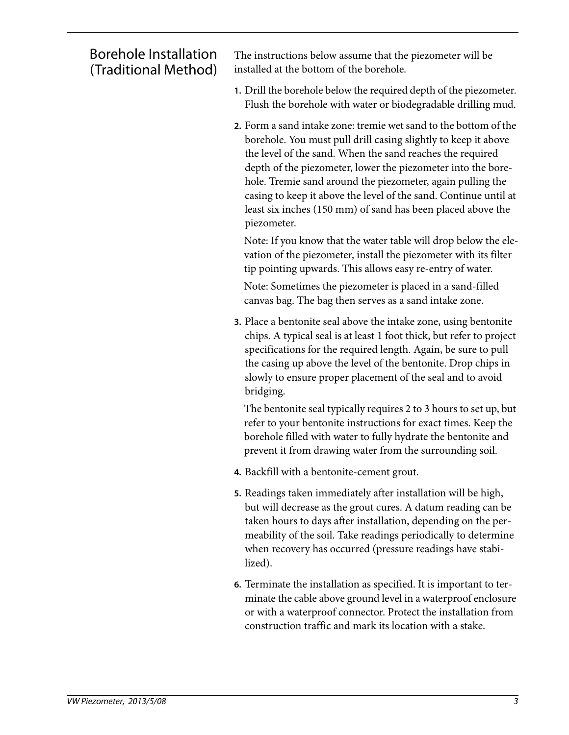#### Borehole Installation (Traditional Method)

The instructions below assume that the piezometer will be installed at the bottom of the borehole.

- **1.** Drill the borehole below the required depth of the piezometer. Flush the borehole with water or biodegradable drilling mud.
- **2.** Form a sand intake zone: tremie wet sand to the bottom of the borehole. You must pull drill casing slightly to keep it above the level of the sand. When the sand reaches the required depth of the piezometer, lower the piezometer into the borehole. Tremie sand around the piezometer, again pulling the casing to keep it above the level of the sand. Continue until at least six inches (150 mm) of sand has been placed above the piezometer.

Note: If you know that the water table will drop below the elevation of the piezometer, install the piezometer with its filter tip pointing upwards. This allows easy re-entry of water.

Note: Sometimes the piezometer is placed in a sand-filled canvas bag. The bag then serves as a sand intake zone.

**3.** Place a bentonite seal above the intake zone, using bentonite chips. A typical seal is at least 1 foot thick, but refer to project specifications for the required length. Again, be sure to pull the casing up above the level of the bentonite. Drop chips in slowly to ensure proper placement of the seal and to avoid bridging.

The bentonite seal typically requires 2 to 3 hours to set up, but refer to your bentonite instructions for exact times. Keep the borehole filled with water to fully hydrate the bentonite and prevent it from drawing water from the surrounding soil.

- **4.** Backfill with a bentonite-cement grout.
- **5.** Readings taken immediately after installation will be high, but will decrease as the grout cures. A datum reading can be taken hours to days after installation, depending on the permeability of the soil. Take readings periodically to determine when recovery has occurred (pressure readings have stabilized).
- **6.** Terminate the installation as specified. It is important to terminate the cable above ground level in a waterproof enclosure or with a waterproof connector. Protect the installation from construction traffic and mark its location with a stake.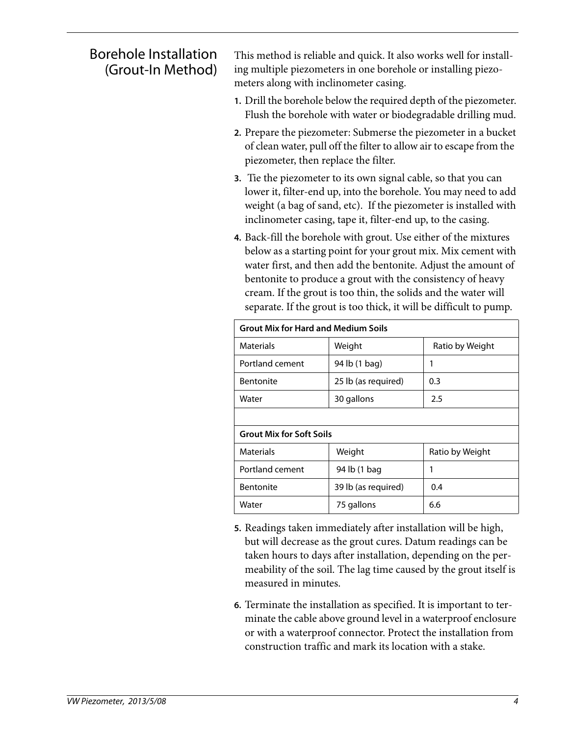#### Borehole Installation (Grout-In Method)

This method is reliable and quick. It also works well for installing multiple piezometers in one borehole or installing piezometers along with inclinometer casing.

- **1.** Drill the borehole below the required depth of the piezometer. Flush the borehole with water or biodegradable drilling mud.
- **2.** Prepare the piezometer: Submerse the piezometer in a bucket of clean water, pull off the filter to allow air to escape from the piezometer, then replace the filter.
- **3.** Tie the piezometer to its own signal cable, so that you can lower it, filter-end up, into the borehole. You may need to add weight (a bag of sand, etc). If the piezometer is installed with inclinometer casing, tape it, filter-end up, to the casing.
- **4.** Back-fill the borehole with grout. Use either of the mixtures below as a starting point for your grout mix. Mix cement with water first, and then add the bentonite. Adjust the amount of bentonite to produce a grout with the consistency of heavy cream. If the grout is too thin, the solids and the water will separate. If the grout is too thick, it will be difficult to pump.

| <b>Grout Mix for Hard and Medium Soils</b> |                     |                 |  |
|--------------------------------------------|---------------------|-----------------|--|
| <b>Materials</b>                           | Weight              | Ratio by Weight |  |
| Portland cement                            | 94 lb (1 bag)       | 1               |  |
| <b>Bentonite</b>                           | 25 lb (as required) | 0.3             |  |
| Water                                      | 30 gallons          | 2.5             |  |
|                                            |                     |                 |  |
| <b>Grout Mix for Soft Soils</b>            |                     |                 |  |
| <b>Materials</b>                           | Weight              | Ratio by Weight |  |
| Portland cement                            | 94 lb (1 bag        | 1               |  |
| <b>Bentonite</b>                           | 39 lb (as required) | 0.4             |  |
| Water                                      | 75 gallons          | 6.6             |  |

- **5.** Readings taken immediately after installation will be high, but will decrease as the grout cures. Datum readings can be taken hours to days after installation, depending on the permeability of the soil. The lag time caused by the grout itself is measured in minutes.
- **6.** Terminate the installation as specified. It is important to terminate the cable above ground level in a waterproof enclosure or with a waterproof connector. Protect the installation from construction traffic and mark its location with a stake.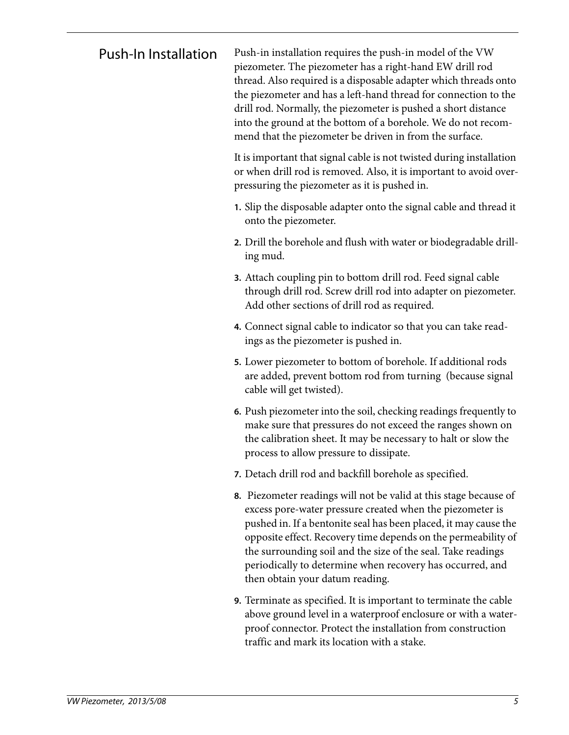Push-In Installation Push-in installation requires the push-in model of the VW piezometer. The piezometer has a right-hand EW drill rod thread. Also required is a disposable adapter which threads onto the piezometer and has a left-hand thread for connection to the drill rod. Normally, the piezometer is pushed a short distance into the ground at the bottom of a borehole. We do not recommend that the piezometer be driven in from the surface.

> It is important that signal cable is not twisted during installation or when drill rod is removed. Also, it is important to avoid overpressuring the piezometer as it is pushed in.

- **1.** Slip the disposable adapter onto the signal cable and thread it onto the piezometer.
- **2.** Drill the borehole and flush with water or biodegradable drilling mud.
- **3.** Attach coupling pin to bottom drill rod. Feed signal cable through drill rod. Screw drill rod into adapter on piezometer. Add other sections of drill rod as required.
- **4.** Connect signal cable to indicator so that you can take readings as the piezometer is pushed in.
- **5.** Lower piezometer to bottom of borehole. If additional rods are added, prevent bottom rod from turning (because signal cable will get twisted).
- **6.** Push piezometer into the soil, checking readings frequently to make sure that pressures do not exceed the ranges shown on the calibration sheet. It may be necessary to halt or slow the process to allow pressure to dissipate.
- **7.** Detach drill rod and backfill borehole as specified.
- **8.** Piezometer readings will not be valid at this stage because of excess pore-water pressure created when the piezometer is pushed in. If a bentonite seal has been placed, it may cause the opposite effect. Recovery time depends on the permeability of the surrounding soil and the size of the seal. Take readings periodically to determine when recovery has occurred, and then obtain your datum reading.
- **9.** Terminate as specified. It is important to terminate the cable above ground level in a waterproof enclosure or with a waterproof connector. Protect the installation from construction traffic and mark its location with a stake.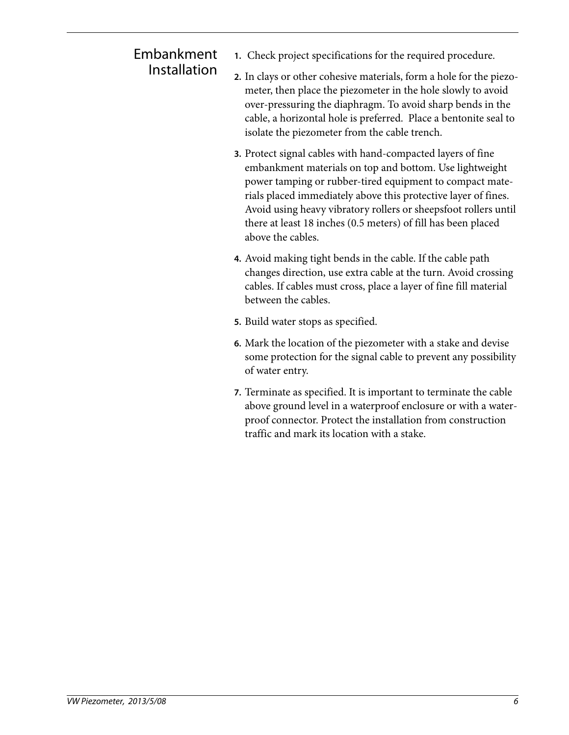#### Embankment Installation

- **1.** Check project specifications for the required procedure.
- **2.** In clays or other cohesive materials, form a hole for the piezometer, then place the piezometer in the hole slowly to avoid over-pressuring the diaphragm. To avoid sharp bends in the cable, a horizontal hole is preferred. Place a bentonite seal to isolate the piezometer from the cable trench.
- **3.** Protect signal cables with hand-compacted layers of fine embankment materials on top and bottom. Use lightweight power tamping or rubber-tired equipment to compact materials placed immediately above this protective layer of fines. Avoid using heavy vibratory rollers or sheepsfoot rollers until there at least 18 inches (0.5 meters) of fill has been placed above the cables.
- **4.** Avoid making tight bends in the cable. If the cable path changes direction, use extra cable at the turn. Avoid crossing cables. If cables must cross, place a layer of fine fill material between the cables.
- **5.** Build water stops as specified.
- **6.** Mark the location of the piezometer with a stake and devise some protection for the signal cable to prevent any possibility of water entry.
- **7.** Terminate as specified. It is important to terminate the cable above ground level in a waterproof enclosure or with a waterproof connector. Protect the installation from construction traffic and mark its location with a stake.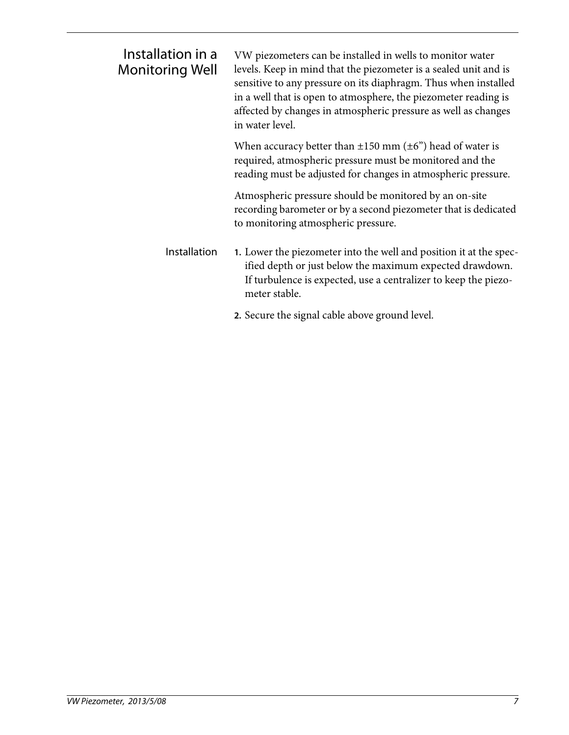| Installation in a<br><b>Monitoring Well</b> | VW piezometers can be installed in wells to monitor water<br>levels. Keep in mind that the piezometer is a sealed unit and is<br>sensitive to any pressure on its diaphragm. Thus when installed<br>in a well that is open to atmosphere, the piezometer reading is<br>affected by changes in atmospheric pressure as well as changes<br>in water level. |
|---------------------------------------------|----------------------------------------------------------------------------------------------------------------------------------------------------------------------------------------------------------------------------------------------------------------------------------------------------------------------------------------------------------|
|                                             | When accuracy better than $\pm 150$ mm ( $\pm 6$ ") head of water is<br>required, atmospheric pressure must be monitored and the<br>reading must be adjusted for changes in atmospheric pressure.                                                                                                                                                        |
|                                             | Atmospheric pressure should be monitored by an on-site<br>recording barometer or by a second piezometer that is dedicated<br>to monitoring atmospheric pressure.                                                                                                                                                                                         |
| Installation                                | 1. Lower the piezometer into the well and position it at the spec-<br>ified depth or just below the maximum expected drawdown.<br>If turbulence is expected, use a centralizer to keep the piezo-<br>meter stable.                                                                                                                                       |
|                                             | 2. Secure the signal cable above ground level.                                                                                                                                                                                                                                                                                                           |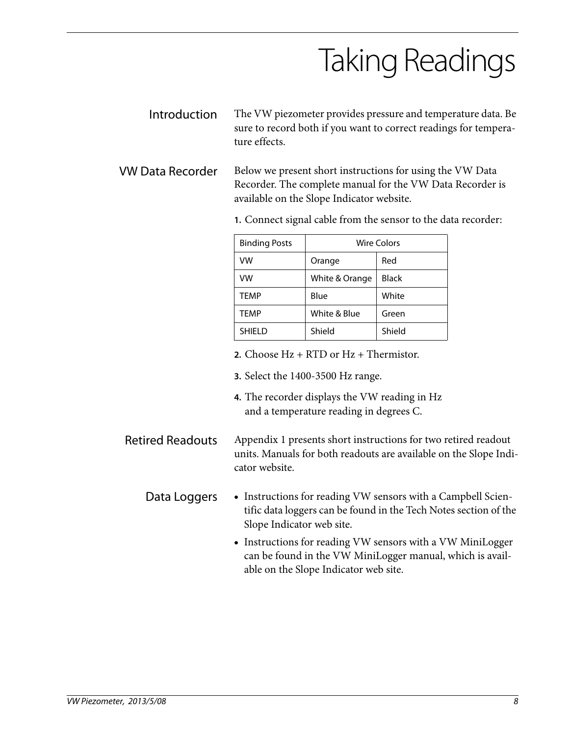# Taking Readings

- Introduction The VW piezometer provides pressure and temperature data. Be sure to record both if you want to correct readings for temperature effects.
- VW Data Recorder Below we present short instructions for using the VW Data Recorder. The complete manual for the VW Data Recorder is available on the Slope Indicator website.

| <b>Binding Posts</b> | <b>Wire Colors</b> |              |  |
|----------------------|--------------------|--------------|--|
| VW                   | Orange             | Red          |  |
| VW                   | White & Orange     | <b>Black</b> |  |
| TEMP                 | Blue               | White        |  |
| TEMP                 | White & Blue       | Green        |  |
| <b>SHIELD</b>        | Shield             | Shield       |  |

**1.** Connect signal cable from the sensor to the data recorder:

- **2.** Choose Hz + RTD or Hz + Thermistor.
- **3.** Select the 1400-3500 Hz range.
- **4.** The recorder displays the VW reading in Hz and a temperature reading in degrees C.
- Retired Readouts Appendix 1 presents short instructions for two retired readout units. Manuals for both readouts are available on the Slope Indicator website.
	- Data Loggers Instructions for reading VW sensors with a Campbell Scientific data loggers can be found in the Tech Notes section of the Slope Indicator web site.
		- Instructions for reading VW sensors with a VW MiniLogger can be found in the VW MiniLogger manual, which is available on the Slope Indicator web site.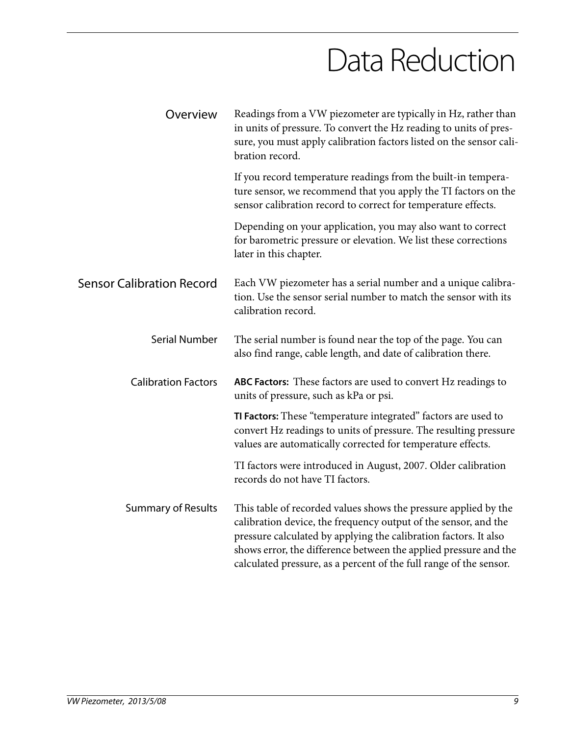### Data Reduction

| Overview                         | Readings from a VW piezometer are typically in Hz, rather than<br>in units of pressure. To convert the Hz reading to units of pres-<br>sure, you must apply calibration factors listed on the sensor cali-<br>bration record.                                                                                                                    |
|----------------------------------|--------------------------------------------------------------------------------------------------------------------------------------------------------------------------------------------------------------------------------------------------------------------------------------------------------------------------------------------------|
|                                  | If you record temperature readings from the built-in tempera-<br>ture sensor, we recommend that you apply the TI factors on the<br>sensor calibration record to correct for temperature effects.                                                                                                                                                 |
|                                  | Depending on your application, you may also want to correct<br>for barometric pressure or elevation. We list these corrections<br>later in this chapter.                                                                                                                                                                                         |
| <b>Sensor Calibration Record</b> | Each VW piezometer has a serial number and a unique calibra-<br>tion. Use the sensor serial number to match the sensor with its<br>calibration record.                                                                                                                                                                                           |
| <b>Serial Number</b>             | The serial number is found near the top of the page. You can<br>also find range, cable length, and date of calibration there.                                                                                                                                                                                                                    |
| <b>Calibration Factors</b>       | <b>ABC Factors:</b> These factors are used to convert Hz readings to<br>units of pressure, such as kPa or psi.                                                                                                                                                                                                                                   |
|                                  | TI Factors: These "temperature integrated" factors are used to<br>convert Hz readings to units of pressure. The resulting pressure<br>values are automatically corrected for temperature effects.                                                                                                                                                |
|                                  | TI factors were introduced in August, 2007. Older calibration<br>records do not have TI factors.                                                                                                                                                                                                                                                 |
| <b>Summary of Results</b>        | This table of recorded values shows the pressure applied by the<br>calibration device, the frequency output of the sensor, and the<br>pressure calculated by applying the calibration factors. It also<br>shows error, the difference between the applied pressure and the<br>calculated pressure, as a percent of the full range of the sensor. |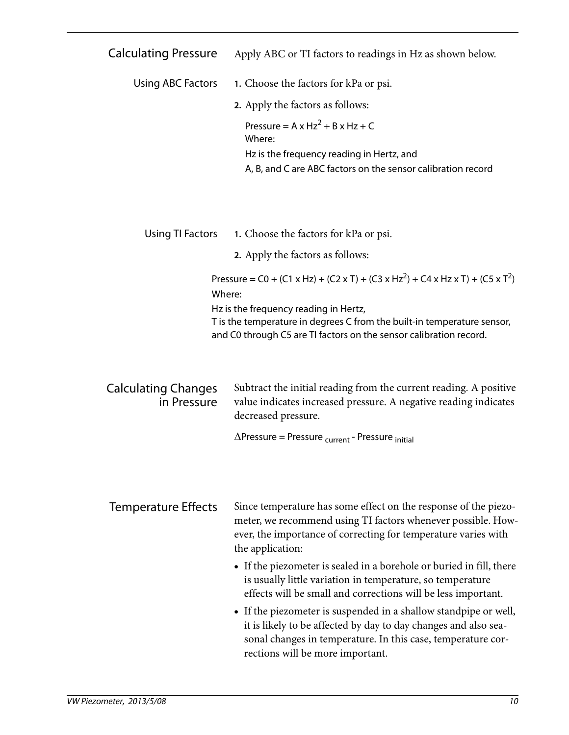| Calculating Pressure |  | Apply ABC or TI factors to readings in Hz as shown below. |  |
|----------------------|--|-----------------------------------------------------------|--|
|----------------------|--|-----------------------------------------------------------|--|

| Using ABC Factors | 1. Choose the factors for kPa or psi.                        |
|-------------------|--------------------------------------------------------------|
|                   | 2. Apply the factors as follows:                             |
|                   | Pressure = $A \times Hz^2 + B \times Hz + C$<br>Where:       |
|                   | Hz is the frequency reading in Hertz, and                    |
|                   | A, B, and C are ABC factors on the sensor calibration record |
|                   |                                                              |

| Using TI Factors | 1. Choose the factors for kPa or psi. |  |
|------------------|---------------------------------------|--|
|------------------|---------------------------------------|--|

**2.** Apply the factors as follows:

Pressure =  $CO + (C1 \times Hz) + (C2 \times T) + (C3 \times Hz^2) + C4 \times Hz \times T) + (C5 \times T^2)$ Where:

Hz is the frequency reading in Hertz,

T is the temperature in degrees C from the built-in temperature sensor, and C0 through C5 are TI factors on the sensor calibration record.

| <b>Calculating Changes</b> | Subtract the initial reading from the current reading. A positive |
|----------------------------|-------------------------------------------------------------------|
| in Pressure                | value indicates increased pressure. A negative reading indicates  |
|                            | decreased pressure.                                               |

 $\Delta$ Pressure = Pressure <sub>current</sub> - Pressure <sub>initial</sub>

Temperature Effects Since temperature has some effect on the response of the piezometer, we recommend using TI factors whenever possible. However, the importance of correcting for temperature varies with the application:

- If the piezometer is sealed in a borehole or buried in fill, there is usually little variation in temperature, so temperature effects will be small and corrections will be less important.
- If the piezometer is suspended in a shallow standpipe or well, it is likely to be affected by day to day changes and also seasonal changes in temperature. In this case, temperature corrections will be more important.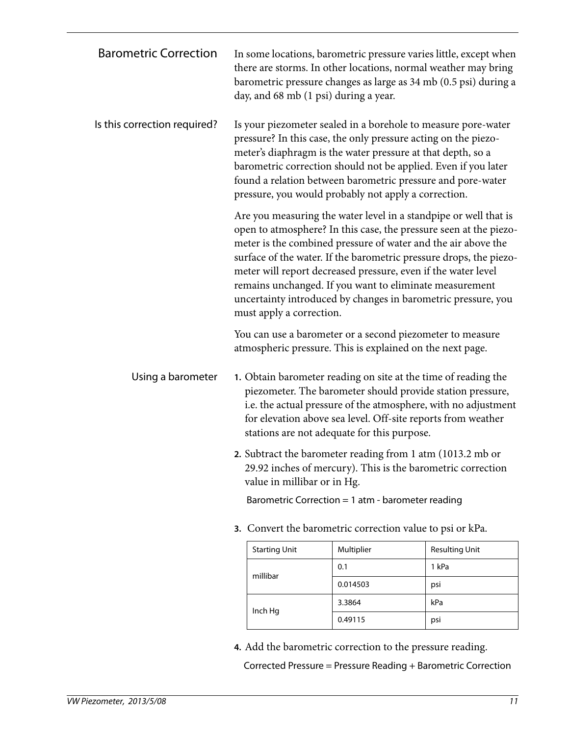| <b>Barometric Correction</b> | In some locations, barometric pressure varies little, except when<br>there are storms. In other locations, normal weather may bring<br>barometric pressure changes as large as 34 mb (0.5 psi) during a<br>day, and 68 mb (1 psi) during a year.                                                                                                                                                                                                                                                      |            |                       |  |  |
|------------------------------|-------------------------------------------------------------------------------------------------------------------------------------------------------------------------------------------------------------------------------------------------------------------------------------------------------------------------------------------------------------------------------------------------------------------------------------------------------------------------------------------------------|------------|-----------------------|--|--|
| Is this correction required? | Is your piezometer sealed in a borehole to measure pore-water<br>pressure? In this case, the only pressure acting on the piezo-<br>meter's diaphragm is the water pressure at that depth, so a<br>barometric correction should not be applied. Even if you later<br>found a relation between barometric pressure and pore-water<br>pressure, you would probably not apply a correction.                                                                                                               |            |                       |  |  |
|                              | Are you measuring the water level in a standpipe or well that is<br>open to atmosphere? In this case, the pressure seen at the piezo-<br>meter is the combined pressure of water and the air above the<br>surface of the water. If the barometric pressure drops, the piezo-<br>meter will report decreased pressure, even if the water level<br>remains unchanged. If you want to eliminate measurement<br>uncertainty introduced by changes in barometric pressure, you<br>must apply a correction. |            |                       |  |  |
|                              | You can use a barometer or a second piezometer to measure<br>atmospheric pressure. This is explained on the next page.                                                                                                                                                                                                                                                                                                                                                                                |            |                       |  |  |
| Using a barometer            | 1. Obtain barometer reading on site at the time of reading the<br>piezometer. The barometer should provide station pressure,<br>i.e. the actual pressure of the atmosphere, with no adjustment<br>for elevation above sea level. Off-site reports from weather<br>stations are not adequate for this purpose.<br>2. Subtract the barometer reading from 1 atm (1013.2 mb or                                                                                                                           |            |                       |  |  |
|                              | 29.92 inches of mercury). This is the barometric correction<br>value in millibar or in Hg.<br>Barometric Correction = $1$ atm - barometer reading                                                                                                                                                                                                                                                                                                                                                     |            |                       |  |  |
|                              |                                                                                                                                                                                                                                                                                                                                                                                                                                                                                                       |            |                       |  |  |
|                              | 3. Convert the barometric correction value to psi or kPa.                                                                                                                                                                                                                                                                                                                                                                                                                                             |            |                       |  |  |
|                              | <b>Starting Unit</b>                                                                                                                                                                                                                                                                                                                                                                                                                                                                                  | Multiplier | <b>Resulting Unit</b> |  |  |
|                              | millibar                                                                                                                                                                                                                                                                                                                                                                                                                                                                                              | 0.1        | 1 kPa                 |  |  |
|                              |                                                                                                                                                                                                                                                                                                                                                                                                                                                                                                       | 0.014503   | psi                   |  |  |
|                              | Inch Hg                                                                                                                                                                                                                                                                                                                                                                                                                                                                                               | 3.3864     | kPa                   |  |  |
|                              | 0.49115<br>psi                                                                                                                                                                                                                                                                                                                                                                                                                                                                                        |            |                       |  |  |

**4.** Add the barometric correction to the pressure reading.

Corrected Pressure = Pressure Reading + Barometric Correction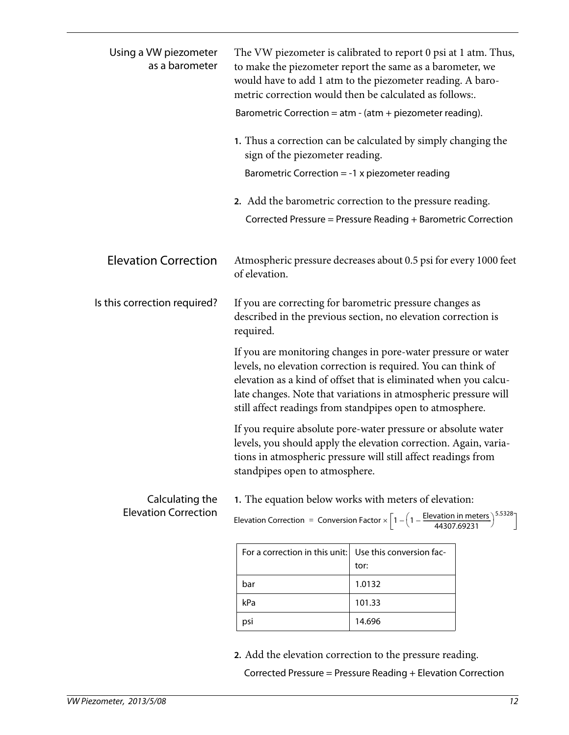| Using a VW piezometer<br>as a barometer        | sign of the piezometer reading.<br>Barometric Correction = $-1$ x piezometer reading                                                                                                                                                                                                                                                                                                                                                                                         | The VW piezometer is calibrated to report 0 psi at 1 atm. Thus,<br>to make the piezometer report the same as a barometer, we<br>would have to add 1 atm to the piezometer reading. A baro-<br>metric correction would then be calculated as follows:.<br>Barometric Correction = $atm - (atm + piezometer reading)$ .<br>1. Thus a correction can be calculated by simply changing the<br>2. Add the barometric correction to the pressure reading.<br>Corrected Pressure = Pressure Reading + Barometric Correction |
|------------------------------------------------|------------------------------------------------------------------------------------------------------------------------------------------------------------------------------------------------------------------------------------------------------------------------------------------------------------------------------------------------------------------------------------------------------------------------------------------------------------------------------|----------------------------------------------------------------------------------------------------------------------------------------------------------------------------------------------------------------------------------------------------------------------------------------------------------------------------------------------------------------------------------------------------------------------------------------------------------------------------------------------------------------------|
| <b>Elevation Correction</b>                    | of elevation.                                                                                                                                                                                                                                                                                                                                                                                                                                                                | Atmospheric pressure decreases about 0.5 psi for every 1000 feet                                                                                                                                                                                                                                                                                                                                                                                                                                                     |
| Is this correction required?                   | If you are correcting for barometric pressure changes as<br>described in the previous section, no elevation correction is<br>required.<br>If you are monitoring changes in pore-water pressure or water<br>levels, no elevation correction is required. You can think of<br>elevation as a kind of offset that is eliminated when you calcu-<br>late changes. Note that variations in atmospheric pressure will<br>still affect readings from standpipes open to atmosphere. |                                                                                                                                                                                                                                                                                                                                                                                                                                                                                                                      |
|                                                |                                                                                                                                                                                                                                                                                                                                                                                                                                                                              |                                                                                                                                                                                                                                                                                                                                                                                                                                                                                                                      |
|                                                | standpipes open to atmosphere.                                                                                                                                                                                                                                                                                                                                                                                                                                               | If you require absolute pore-water pressure or absolute water<br>levels, you should apply the elevation correction. Again, varia-<br>tions in atmospheric pressure will still affect readings from                                                                                                                                                                                                                                                                                                                   |
| Calculating the<br><b>Elevation Correction</b> | 1. The equation below works with meters of elevation:<br>Elevation Correction = Conversion Factor $\times \left[1 - \left(1 - \frac{\text{Elevation in meters}}{44307.69231}\right)\right]$                                                                                                                                                                                                                                                                                  |                                                                                                                                                                                                                                                                                                                                                                                                                                                                                                                      |
|                                                | For a correction in this unit:                                                                                                                                                                                                                                                                                                                                                                                                                                               | Use this conversion fac-<br>tor:                                                                                                                                                                                                                                                                                                                                                                                                                                                                                     |
|                                                | bar                                                                                                                                                                                                                                                                                                                                                                                                                                                                          | 1.0132                                                                                                                                                                                                                                                                                                                                                                                                                                                                                                               |
|                                                | kPa                                                                                                                                                                                                                                                                                                                                                                                                                                                                          | 101.33                                                                                                                                                                                                                                                                                                                                                                                                                                                                                                               |
|                                                | psi                                                                                                                                                                                                                                                                                                                                                                                                                                                                          | 14.696                                                                                                                                                                                                                                                                                                                                                                                                                                                                                                               |
|                                                |                                                                                                                                                                                                                                                                                                                                                                                                                                                                              |                                                                                                                                                                                                                                                                                                                                                                                                                                                                                                                      |

**2.** Add the elevation correction to the pressure reading.

Corrected Pressure = Pressure Reading + Elevation Correction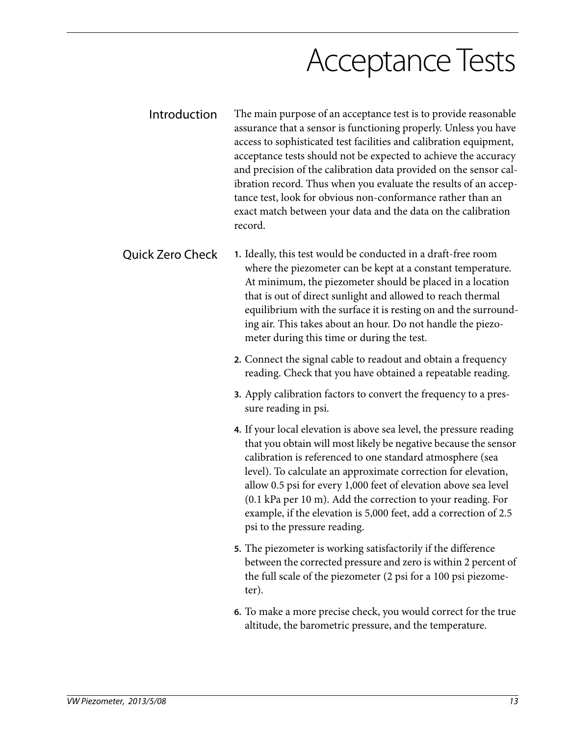### Acceptance Tests

Introduction The main purpose of an acceptance test is to provide reasonable assurance that a sensor is functioning properly. Unless you have access to sophisticated test facilities and calibration equipment, acceptance tests should not be expected to achieve the accuracy and precision of the calibration data provided on the sensor calibration record. Thus when you evaluate the results of an acceptance test, look for obvious non-conformance rather than an exact match between your data and the data on the calibration record.

Quick Zero Check **1.** Ideally, this test would be conducted in a draft-free room where the piezometer can be kept at a constant temperature. At minimum, the piezometer should be placed in a location that is out of direct sunlight and allowed to reach thermal equilibrium with the surface it is resting on and the surrounding air. This takes about an hour. Do not handle the piezometer during this time or during the test.

- **2.** Connect the signal cable to readout and obtain a frequency reading. Check that you have obtained a repeatable reading.
- **3.** Apply calibration factors to convert the frequency to a pressure reading in psi.
- **4.** If your local elevation is above sea level, the pressure reading that you obtain will most likely be negative because the sensor calibration is referenced to one standard atmosphere (sea level). To calculate an approximate correction for elevation, allow 0.5 psi for every 1,000 feet of elevation above sea level (0.1 kPa per 10 m). Add the correction to your reading. For example, if the elevation is 5,000 feet, add a correction of 2.5 psi to the pressure reading.
- **5.** The piezometer is working satisfactorily if the difference between the corrected pressure and zero is within 2 percent of the full scale of the piezometer (2 psi for a 100 psi piezometer).
- **6.** To make a more precise check, you would correct for the true altitude, the barometric pressure, and the temperature.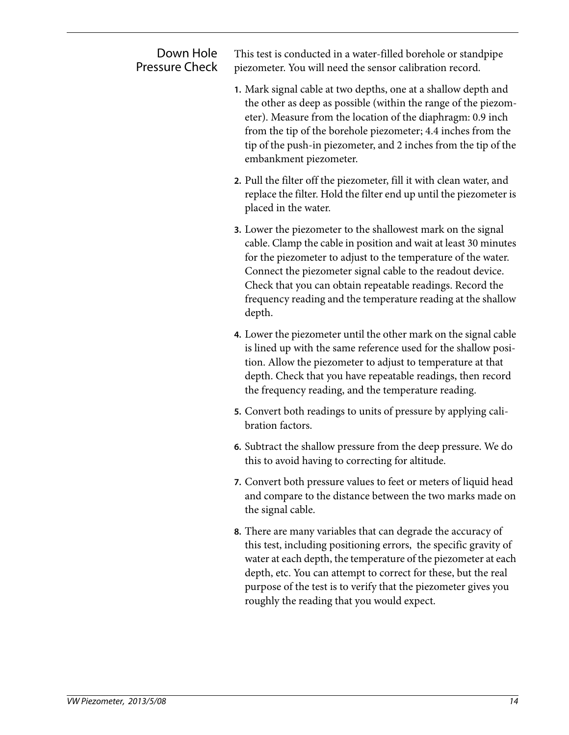| Down Hole<br><b>Pressure Check</b> | This test is conducted in a water-filled borehole or standpipe<br>piezometer. You will need the sensor calibration record.                                                                                                                                                                                                                                                                                   |
|------------------------------------|--------------------------------------------------------------------------------------------------------------------------------------------------------------------------------------------------------------------------------------------------------------------------------------------------------------------------------------------------------------------------------------------------------------|
|                                    | 1. Mark signal cable at two depths, one at a shallow depth and<br>the other as deep as possible (within the range of the piezom-<br>eter). Measure from the location of the diaphragm: 0.9 inch<br>from the tip of the borehole piezometer; 4.4 inches from the<br>tip of the push-in piezometer, and 2 inches from the tip of the<br>embankment piezometer.                                                 |
|                                    | 2. Pull the filter off the piezometer, fill it with clean water, and<br>replace the filter. Hold the filter end up until the piezometer is<br>placed in the water.                                                                                                                                                                                                                                           |
|                                    | <b>3.</b> Lower the piezometer to the shallowest mark on the signal<br>cable. Clamp the cable in position and wait at least 30 minutes<br>for the piezometer to adjust to the temperature of the water.<br>Connect the piezometer signal cable to the readout device.<br>Check that you can obtain repeatable readings. Record the<br>frequency reading and the temperature reading at the shallow<br>depth. |
|                                    | 4. Lower the piezometer until the other mark on the signal cable<br>is lined up with the same reference used for the shallow posi-<br>tion. Allow the piezometer to adjust to temperature at that<br>depth. Check that you have repeatable readings, then record<br>the frequency reading, and the temperature reading.                                                                                      |
|                                    | 5. Convert both readings to units of pressure by applying cali-<br>bration factors.                                                                                                                                                                                                                                                                                                                          |
|                                    | 6. Subtract the shallow pressure from the deep pressure. We do<br>this to avoid having to correcting for altitude.                                                                                                                                                                                                                                                                                           |
|                                    | 7. Convert both pressure values to feet or meters of liquid head<br>and compare to the distance between the two marks made on<br>the signal cable.                                                                                                                                                                                                                                                           |
|                                    | 8. There are many variables that can degrade the accuracy of<br>this test, including positioning errors, the specific gravity of<br>water at each depth, the temperature of the piezometer at each<br>depth, etc. You can attempt to correct for these, but the real<br>purpose of the test is to verify that the piezometer gives you<br>roughly the reading that you would expect.                         |
|                                    |                                                                                                                                                                                                                                                                                                                                                                                                              |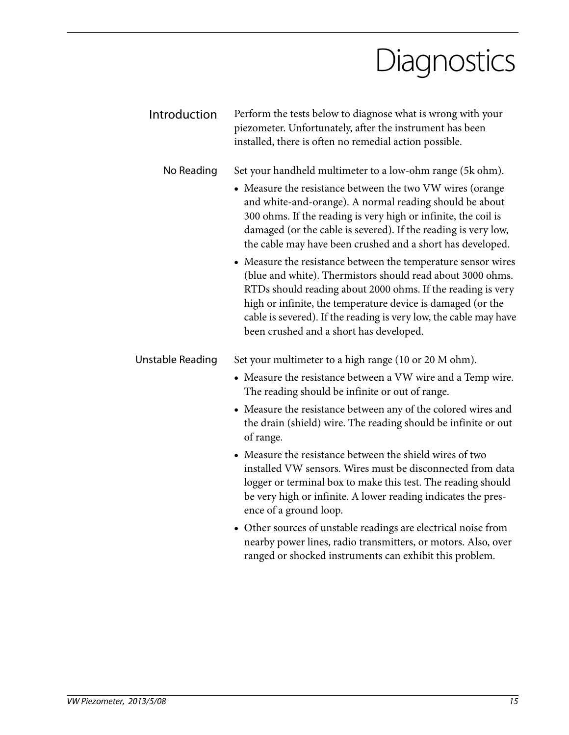### **Diagnostics**

| Introduction            | Perform the tests below to diagnose what is wrong with your<br>piezometer. Unfortunately, after the instrument has been<br>installed, there is often no remedial action possible.                                                                                                                                                                                         |
|-------------------------|---------------------------------------------------------------------------------------------------------------------------------------------------------------------------------------------------------------------------------------------------------------------------------------------------------------------------------------------------------------------------|
| No Reading              | Set your handheld multimeter to a low-ohm range (5k ohm).                                                                                                                                                                                                                                                                                                                 |
|                         | • Measure the resistance between the two VW wires (orange<br>and white-and-orange). A normal reading should be about<br>300 ohms. If the reading is very high or infinite, the coil is<br>damaged (or the cable is severed). If the reading is very low,<br>the cable may have been crushed and a short has developed.                                                    |
|                         | • Measure the resistance between the temperature sensor wires<br>(blue and white). Thermistors should read about 3000 ohms.<br>RTDs should reading about 2000 ohms. If the reading is very<br>high or infinite, the temperature device is damaged (or the<br>cable is severed). If the reading is very low, the cable may have<br>been crushed and a short has developed. |
| <b>Unstable Reading</b> | Set your multimeter to a high range (10 or 20 M ohm).                                                                                                                                                                                                                                                                                                                     |
|                         | • Measure the resistance between a VW wire and a Temp wire.<br>The reading should be infinite or out of range.                                                                                                                                                                                                                                                            |
|                         | • Measure the resistance between any of the colored wires and<br>the drain (shield) wire. The reading should be infinite or out<br>of range.                                                                                                                                                                                                                              |
|                         | • Measure the resistance between the shield wires of two<br>installed VW sensors. Wires must be disconnected from data<br>logger or terminal box to make this test. The reading should<br>be very high or infinite. A lower reading indicates the pres-<br>ence of a ground loop.                                                                                         |
|                         | • Other sources of unstable readings are electrical noise from<br>nearby power lines, radio transmitters, or motors. Also, over<br>ranged or shocked instruments can exhibit this problem.                                                                                                                                                                                |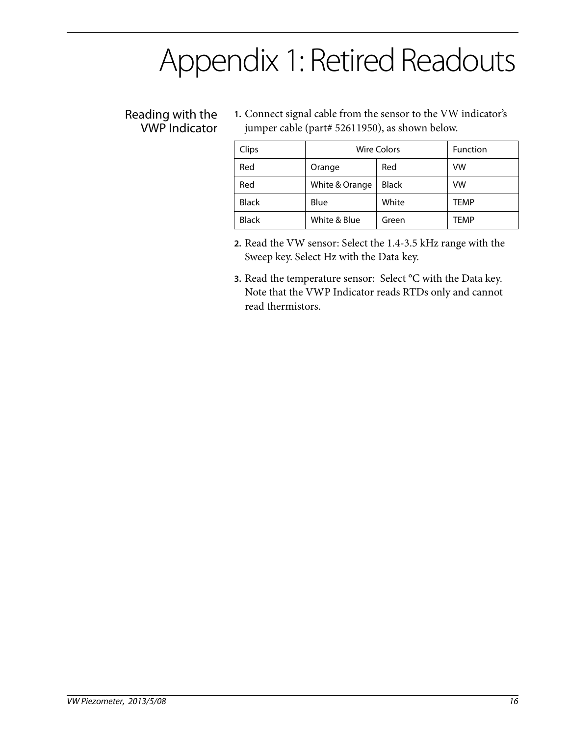### Appendix 1: Retired Readouts

#### Reading with the VWP Indicator

**1.** Connect signal cable from the sensor to the VW indicator's jumper cable (part# 52611950), as shown below.

| Clips        | <b>Wire Colors</b> |              | <b>Function</b> |
|--------------|--------------------|--------------|-----------------|
| Red          | Orange             | Red          | VW              |
| Red          | White & Orange     | <b>Black</b> | VW              |
| <b>Black</b> | Blue               | White        | <b>TEMP</b>     |
| <b>Black</b> | White & Blue       | Green        | TFMP            |

- **2.** Read the VW sensor: Select the 1.4-3.5 kHz range with the Sweep key. Select Hz with the Data key.
- **3.** Read the temperature sensor: Select °C with the Data key. Note that the VWP Indicator reads RTDs only and cannot read thermistors.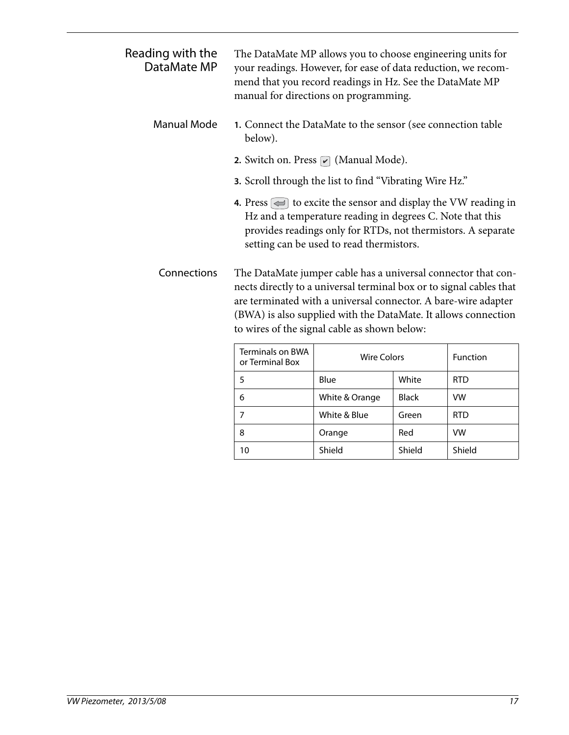| Reading with the<br>DataMate MP |                                                                                                                                                                                                                                                                                                                          | The DataMate MP allows you to choose engineering units for<br>your readings. However, for ease of data reduction, we recom-<br>mend that you record readings in Hz. See the DataMate MP<br>manual for directions on programming.                                              |              |            |
|---------------------------------|--------------------------------------------------------------------------------------------------------------------------------------------------------------------------------------------------------------------------------------------------------------------------------------------------------------------------|-------------------------------------------------------------------------------------------------------------------------------------------------------------------------------------------------------------------------------------------------------------------------------|--------------|------------|
| <b>Manual Mode</b>              | below).                                                                                                                                                                                                                                                                                                                  | 1. Connect the DataMate to the sensor (see connection table                                                                                                                                                                                                                   |              |            |
|                                 |                                                                                                                                                                                                                                                                                                                          | <b>2.</b> Switch on. Press $\sqrt{\phantom{a}}$ (Manual Mode).                                                                                                                                                                                                                |              |            |
|                                 |                                                                                                                                                                                                                                                                                                                          | 3. Scroll through the list to find "Vibrating Wire Hz."                                                                                                                                                                                                                       |              |            |
|                                 |                                                                                                                                                                                                                                                                                                                          | <b>4.</b> Press $\left(\rightleftharpoons\right)$ to excite the sensor and display the VW reading in<br>Hz and a temperature reading in degrees C. Note that this<br>provides readings only for RTDs, not thermistors. A separate<br>setting can be used to read thermistors. |              |            |
| Connections                     | The DataMate jumper cable has a universal connector that con-<br>nects directly to a universal terminal box or to signal cables that<br>are terminated with a universal connector. A bare-wire adapter<br>(BWA) is also supplied with the DataMate. It allows connection<br>to wires of the signal cable as shown below: |                                                                                                                                                                                                                                                                               |              |            |
|                                 | <b>Terminals on BWA</b><br>or Terminal Box                                                                                                                                                                                                                                                                               | <b>Wire Colors</b>                                                                                                                                                                                                                                                            |              | Function   |
|                                 | 5                                                                                                                                                                                                                                                                                                                        | Blue                                                                                                                                                                                                                                                                          | White        | <b>RTD</b> |
|                                 | 6                                                                                                                                                                                                                                                                                                                        | White & Orange                                                                                                                                                                                                                                                                | <b>Black</b> | <b>VW</b>  |
|                                 | $\overline{7}$                                                                                                                                                                                                                                                                                                           | White & Blue                                                                                                                                                                                                                                                                  | Green        | <b>RTD</b> |
|                                 | 8                                                                                                                                                                                                                                                                                                                        | Orange                                                                                                                                                                                                                                                                        | Red          | VW         |

10 | Shield | Shield | Shield